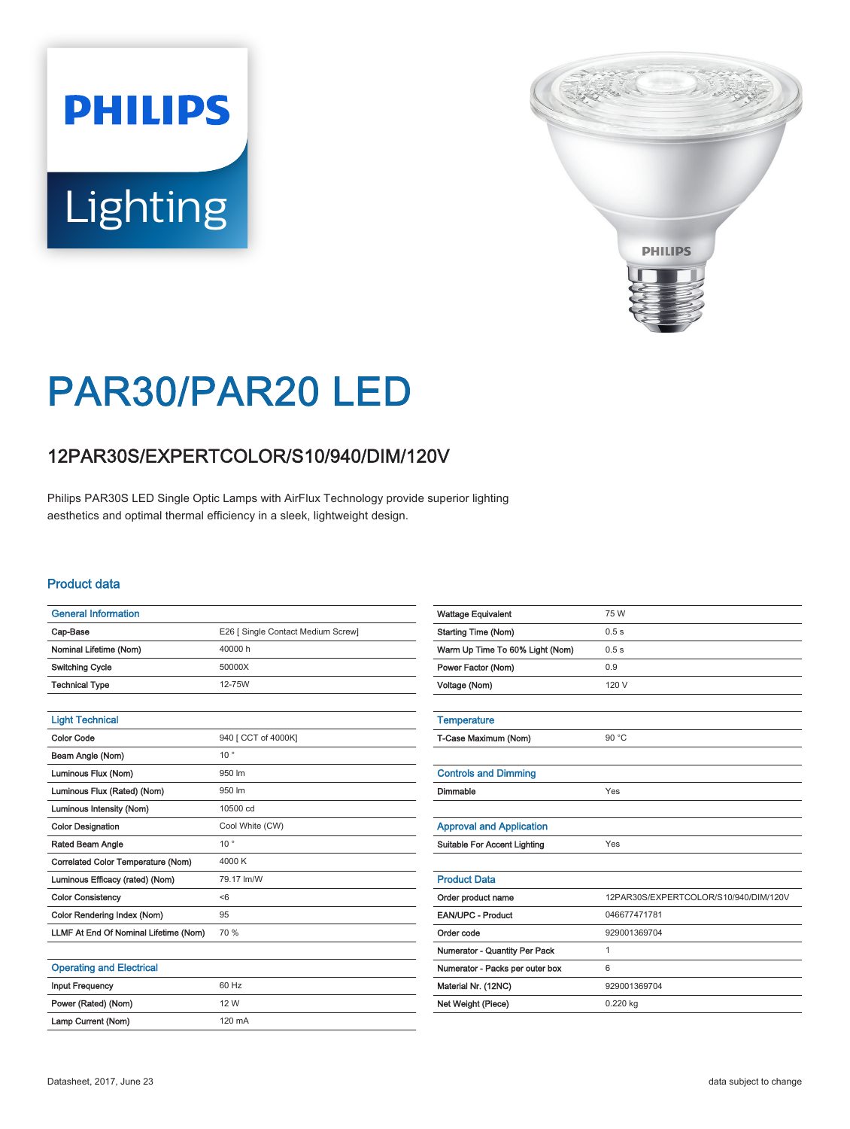# **PHILIPS** Lighting



## PAR30/PAR20 LED

### 12PAR30S/EXPERTCOLOR/S10/940/DIM/120V

Philips PAR30S LED Single Optic Lamps with AirFlux Technology provide superior lighting aesthetics and optimal thermal efficiency in a sleek, lightweight design.

#### Product data

| <b>General Information</b>            |                                    |
|---------------------------------------|------------------------------------|
| Cap-Base                              | E26 [ Single Contact Medium Screw] |
| Nominal Lifetime (Nom)                | 40000 h                            |
| <b>Switching Cycle</b>                | 50000X                             |
| <b>Technical Type</b>                 | 12-75W                             |
|                                       |                                    |
| <b>Light Technical</b>                |                                    |
| <b>Color Code</b>                     | 940 [ CCT of 4000K]                |
| Beam Angle (Nom)                      | $10^{\circ}$                       |
| Luminous Flux (Nom)                   | 950 lm                             |
| Luminous Flux (Rated) (Nom)           | 950 lm                             |
| Luminous Intensity (Nom)              | 10500 cd                           |
| <b>Color Designation</b>              | Cool White (CW)                    |
| Rated Beam Angle                      | $10^{\circ}$                       |
| Correlated Color Temperature (Nom)    | 4000 K                             |
| Luminous Efficacy (rated) (Nom)       | 79.17 lm/W                         |
| <b>Color Consistency</b>              | < 6                                |
| Color Rendering Index (Nom)           | 95                                 |
| LLMF At End Of Nominal Lifetime (Nom) | 70 %                               |
|                                       |                                    |

#### Operating and Electrical

| <b>Input Frequency</b> | 60 Hz            |
|------------------------|------------------|
| Power (Rated) (Nom)    | 12 W             |
| Lamp Current (Nom)     | $120 \text{ mA}$ |

| <b>Wattage Equivalent</b>           | 75 W                                  |
|-------------------------------------|---------------------------------------|
| <b>Starting Time (Nom)</b>          | 0.5s                                  |
| Warm Up Time To 60% Light (Nom)     | 0.5s                                  |
| Power Factor (Nom)                  | 0.9                                   |
| Voltage (Nom)                       | 120 V                                 |
|                                     |                                       |
| <b>Temperature</b>                  |                                       |
| T-Case Maximum (Nom)                | 90 °C                                 |
|                                     |                                       |
| <b>Controls and Dimming</b>         |                                       |
| Dimmable                            | Yes                                   |
|                                     |                                       |
| <b>Approval and Application</b>     |                                       |
| <b>Suitable For Accent Lighting</b> | Yes                                   |
|                                     |                                       |
| <b>Product Data</b>                 |                                       |
| Order product name                  | 12PAR30S/EXPERTCOLOR/S10/940/DIM/120V |
| <b>EAN/UPC - Product</b>            | 046677471781                          |
| Order code                          | 929001369704                          |
| Numerator - Quantity Per Pack       | 1                                     |
| Numerator - Packs per outer box     | 6                                     |
| Material Nr. (12NC)                 | 929001369704                          |
| Net Weight (Piece)                  | $0.220$ kg                            |
|                                     |                                       |